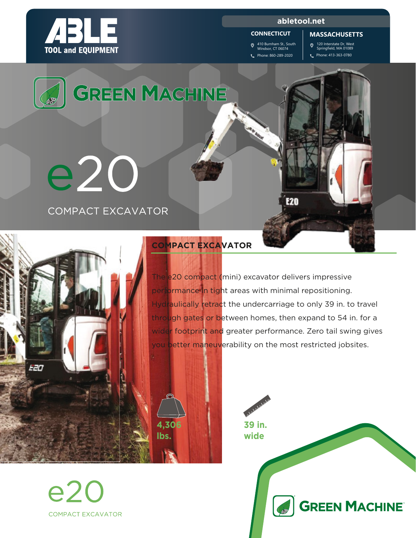

#### **abletool.net**

#### **CONNECTICUT**

410 Burnham St., South Windsor, CT 06074 Phone: 860-289-2020

120 Interstate Dr, West Springfield, MA 01089 **MASSACHUSETTS**

Phone: 413-363-0780



The e20 compact (mini) excavator delivers impressive performance in tight areas with minimal repositioning. Hydraulically retract the undercarriage to only 39 in. to travel through gates or between homes, then expand to 54 in. for a wider footprint and greater performance. Zero tail swing gives you better maneuverability on the most restricted jobsites.



**39 in. wide GREEN MACHINE CARD** 



e2C **COMPACT EXCAVATOR**